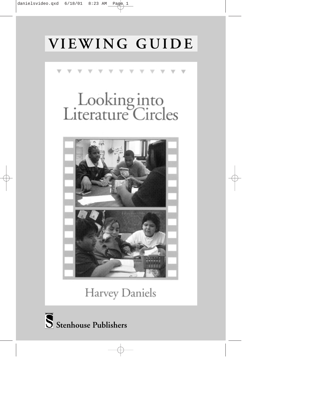# **VIEWING GUIDE**



Harvey Daniels

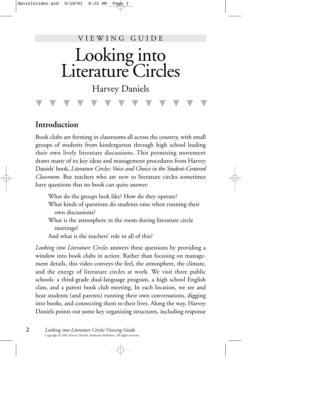#### VIEWING GUIDE

# Looking into Literature Circles

Harvey Daniels

▼▼▼▼▼▼▼▼▼▼▼▼▼

## **Introduction**

Book clubs are forming in classrooms all across the country, with small groups of students from kindergarten through high school leading their own lively literature discussions. This promising movement draws many of its key ideas and management procedures from Harvey Daniels' book, *Literature Circles: Voice and Choice in the Student-Centered Classroom*. But teachers who are new to literature circles sometimes have questions that no book can quite answer:

- What do the groups look like? How do they operate? What kinds of questions do students raise when running their own discussions?
- What is the atmosphere in the room during literature circle meetings?
- And what is the teachers' role in all of this?

*Looking into Literature Circles* answers these questions by providing a window into book clubs in action. Rather than focusing on management details, this video conveys the feel, the atmosphere, the climate, and the energy of literature circles at work. We visit three public schools: a third-grade dual-language program, a high school English class, and a parent book club meeting. In each location, we see and hear students (and parents) running their own conversations, digging into books, and connecting them to their lives. Along the way, Harvey Daniels points out some key organizing structures, including response

**2** *Looking into Literature Circles Viewing Guide* Copyright © 2001 Harvey Daniels. Stenhouse Publishers. All rights reserved.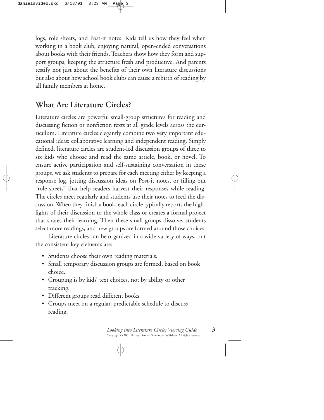logs, role sheets, and Post-it notes. Kids tell us how they feel when working in a book club, enjoying natural, open-ended conversations about books with their friends. Teachers show how they form and support groups, keeping the structure fresh and productive. And parents testify not just about the benefits of their own literature discussions but also about how school book clubs can cause a rebirth of reading by all family members at home.

# **What Are Literature Circles?**

Literature circles are powerful small-group structures for reading and discussing fiction or nonfiction texts at all grade levels across the curriculum. Literature circles elegantly combine two very important educational ideas: collaborative learning and independent reading. Simply defined, literature circles are student-led discussion groups of three to six kids who choose and read the same article, book, or novel. To ensure active participation and self-sustaining conversation in these groups, we ask students to prepare for each meeting either by keeping a response log, jotting discussion ideas on Post-it notes, or filling out "role sheets" that help readers harvest their responses while reading. The circles meet regularly and students use their notes to feed the discussion. When they finish a book, each circle typically reports the highlights of their discussion to the whole class or creates a formal project that shares their learning. Then these small groups dissolve, students select more readings, and new groups are formed around those choices.

Literature circles can be organized in a wide variety of ways, but the consistent key elements are:

- Students choose their own reading materials.
- Small temporary discussion groups are formed, based on book choice.
- Grouping is by kids' text choices, not by ability or other tracking.
- Different groups read different books.
- Groups meet on a regular, predictable schedule to discuss reading.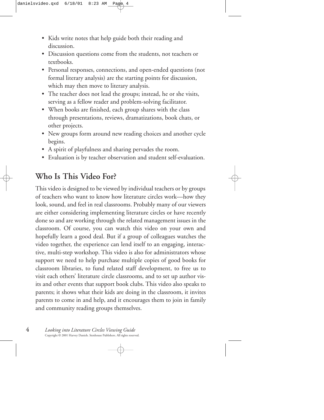- Kids write notes that help guide both their reading and discussion.
- Discussion questions come from the students, not teachers or textbooks.
- Personal responses, connections, and open-ended questions (not formal literary analysis) are the starting points for discussion, which may then move to literary analysis.
- The teacher does not lead the groups; instead, he or she visits, serving as a fellow reader and problem-solving facilitator.
- When books are finished, each group shares with the class through presentations, reviews, dramatizations, book chats, or other projects.
- New groups form around new reading choices and another cycle begins.
- A spirit of playfulness and sharing pervades the room.
- Evaluation is by teacher observation and student self-evaluation.

# **Who Is This Video For?**

This video is designed to be viewed by individual teachers or by groups of teachers who want to know how literature circles work—how they look, sound, and feel in real classrooms. Probably many of our viewers are either considering implementing literature circles or have recently done so and are working through the related management issues in the classroom. Of course, you can watch this video on your own and hopefully learn a good deal. But if a group of colleagues watches the video together, the experience can lend itself to an engaging, interactive, multi-step workshop. This video is also for administrators whose support we need to help purchase multiple copies of good books for classroom libraries, to fund related staff development, to free us to visit each others' literature circle classrooms, and to set up author visits and other events that support book clubs. This video also speaks to parents; it shows what their kids are doing in the classroom, it invites parents to come in and help, and it encourages them to join in family and community reading groups themselves.

**4** *Looking into Literature Circles Viewing Guide* Copyright © 2001 Harvey Daniels. Stenhouse Publishers. All rights reserved.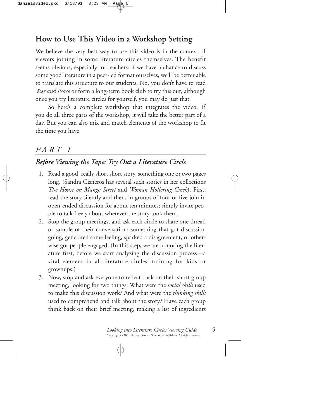# **How to Use This Video in a Workshop Setting**

We believe the very best way to use this video is in the context of viewers joining in some literature circles themselves. The benefit seems obvious, especially for teachers: if we have a chance to discuss some good literature in a peer-led format ourselves, we'll be better able to translate this structure to our students. No, you don't have to read *War and Peace* or form a long-term book club to try this out, although once you try literature circles for yourself, you may do just that!

So here's a complete workshop that integrates the video. If you do all three parts of the workshop, it will take the better part of a day. But you can also mix and match elements of the workshop to fit the time you have.

# *PART I*

### *Before Viewing the Tape: Try Out a Literature Circle*

- 1. Read a good, really short short story, something one or two pages long. (Sandra Cisneros has several such stories in her collections *The House on Mango Street* and *Woman Hollering Creek*). First, read the story silently and then, in groups of four or five join in open-ended discussion for about ten minutes; simply invite people to talk freely about wherever the story took them.
- 2. Stop the group meetings, and ask each circle to share one thread or sample of their conversation: something that got discussion going, generated some feeling, sparked a disagreement, or otherwise got people engaged. (In this step, we are honoring the literature first, before we start analyzing the discussion process—a vital element in all literature circles' training for kids or grownups.)
- 3. Now, stop and ask everyone to reflect back on their short group meeting, looking for two things: What were the *social skills* used to make this discussion work? And what were the *thinking skills* used to comprehend and talk about the story? Have each group think back on their brief meeting, making a list of ingredients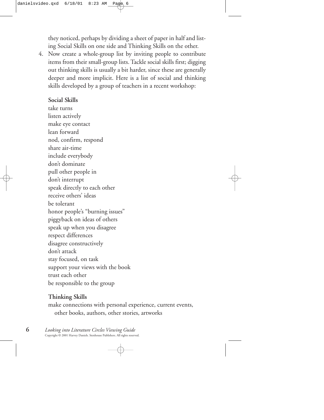they noticed, perhaps by dividing a sheet of paper in half and listing Social Skills on one side and Thinking Skills on the other.

4. Now create a whole-group list by inviting people to contribute items from their small-group lists. Tackle social skills first; digging out thinking skills is usually a bit harder, since these are generally deeper and more implicit. Here is a list of social and thinking skills developed by a group of teachers in a recent workshop:

#### **Social Skills**

take turns listen actively make eye contact lean forward nod, confirm, respond share air-time include everybody don't dominate pull other people in don't interrupt speak directly to each other receive others' ideas be tolerant honor people's "burning issues" piggyback on ideas of others speak up when you disagree respect differences disagree constructively don't attack stay focused, on task support your views with the book trust each other be responsible to the group

#### **Thinking Skills**

make connections with personal experience, current events, other books, authors, other stories, artworks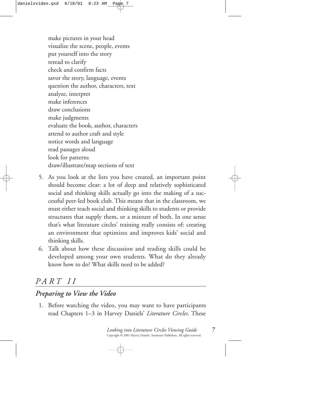make pictures in your head visualize the scene, people, events put yourself into the story reread to clarify check and confirm facts savor the story, language, events question the author, characters, text analyze, interpret make inferences draw conclusions make judgments evaluate the book, author, characters attend to author craft and style notice words and language read passages aloud look for patterns draw/illustrate/map sections of text

- 5. As you look at the lists you have created, an important point should become clear: a lot of deep and relatively sophisticated social and thinking skills actually go into the making of a successful peer-led book club. This means that in the classroom, we must either teach social and thinking skills to students or provide structures that supply them, or a mixture of both. In one sense that's what literature circles' training really consists of: creating an environment that optimizes and improves kids' social and thinking skills.
- 6. Talk about how these discussion and reading skills could be developed among your own students. What do they already know how to do? What skills need to be added?

# *PART II*

#### *Preparing to View the Video*

1. Before watching the video, you may want to have participants read Chapters 1–3 in Harvey Daniels' *Literature Circles*. These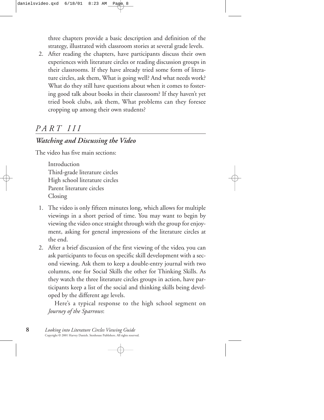three chapters provide a basic description and definition of the strategy, illustrated with classroom stories at several grade levels.

2. After reading the chapters, have participants discuss their own experiences with literature circles or reading discussion groups in their classrooms. If they have already tried some form of literature circles, ask them, What is going well? And what needs work? What do they still have questions about when it comes to fostering good talk about books in their classroom? If they haven't yet tried book clubs, ask them, What problems can they foresee cropping up among their own students?

# *PART III*

#### *Watching and Discussing the Video*

The video has five main sections:

Introduction Third-grade literature circles High school literature circles Parent literature circles Closing

- 1. The video is only fifteen minutes long, which allows for multiple viewings in a short period of time. You may want to begin by viewing the video once straight through with the group for enjoyment, asking for general impressions of the literature circles at the end.
- 2. After a brief discussion of the first viewing of the video, you can ask participants to focus on specific skill development with a second viewing. Ask them to keep a double-entry journal with two columns, one for Social Skills the other for Thinking Skills. As they watch the three literature circles groups in action, have participants keep a list of the social and thinking skills being developed by the different age levels.

Here's a typical response to the high school segment on *Journey of the Sparrows*: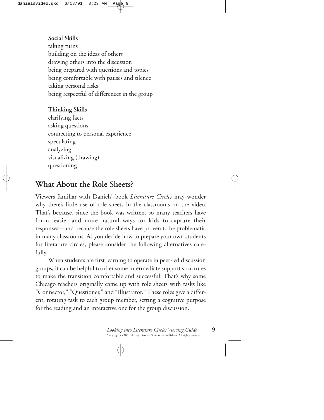#### **Social Skills**

taking turns building on the ideas of others drawing others into the discussion being prepared with questions and topics being comfortable with pauses and silence taking personal risks being respectful of differences in the group

#### **Thinking Skills**

clarifying facts asking questions connecting to personal experience speculating analyzing visualizing (drawing) questioning

### **What About the Role Sheets?**

Viewers familiar with Daniels' book *Literature Circles* may wonder why there's little use of role sheets in the classrooms on the video. That's because, since the book was written, so many teachers have found easier and more natural ways for kids to capture their responses—and because the role sheets have proven to be problematic in many classrooms. As you decide how to prepare your own students for literature circles, please consider the following alternatives carefully.

When students are first learning to operate in peer-led discussion groups, it can be helpful to offer some intermediate support structures to make the transition comfortable and successful. That's why some Chicago teachers originally came up with role sheets with tasks like "Connector," "Questioner," and "Illustrator." These roles give a different, rotating task to each group member, setting a cognitive purpose for the reading and an interactive one for the group discussion.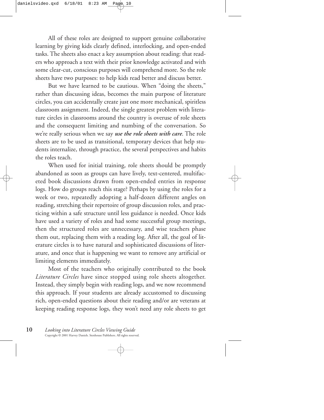All of these roles are designed to support genuine collaborative learning by giving kids clearly defined, interlocking, and open-ended tasks. The sheets also enact a key assumption about reading: that readers who approach a text with their prior knowledge activated and with some clear-cut, conscious purposes will comprehend more. So the role sheets have two purposes: to help kids read better and discuss better.

But we have learned to be cautious. When "doing the sheets," rather than discussing ideas, becomes the main purpose of literature circles, you can accidentally create just one more mechanical, spiritless classroom assignment. Indeed, the single greatest problem with literature circles in classrooms around the country is overuse of role sheets and the consequent limiting and numbing of the conversation. So we're really serious when we say *use the role sheets with care*. The role sheets are to be used as transitional, temporary devices that help students internalize, through practice, the several perspectives and habits the roles teach.

When used for initial training, role sheets should be promptly abandoned as soon as groups can have lively, text-centered, multifaceted book discussions drawn from open-ended entries in response logs. How do groups reach this stage? Perhaps by using the roles for a week or two, repeatedly adopting a half-dozen different angles on reading, stretching their repertoire of group discussion roles, and practicing within a safe structure until less guidance is needed. Once kids have used a variety of roles and had some successful group meetings, then the structured roles are unnecessary, and wise teachers phase them out, replacing them with a reading log. After all, the goal of literature circles is to have natural and sophisticated discussions of literature, and once that is happening we want to remove any artificial or limiting elements immediately.

Most of the teachers who originally contributed to the book *Literature Circles* have since stopped using role sheets altogether. Instead, they simply begin with reading logs, and we now recommend this approach. If your students are already accustomed to discussing rich, open-ended questions about their reading and/or are veterans at keeping reading response logs, they won't need any role sheets to get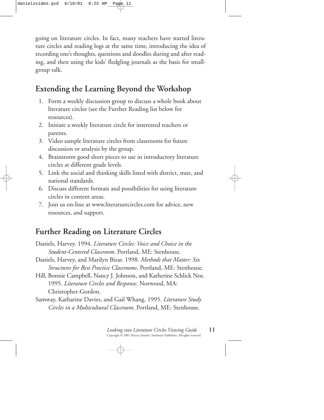going on literature circles. In fact, many teachers have started literature circles and reading logs at the same time, introducing the idea of recording one's thoughts, questions and doodles during and after reading, and then using the kids' fledgling journals as the basis for smallgroup talk.

# **Extending the Learning Beyond the Workshop**

- 1. Form a weekly discussion group to discuss a whole book about literature circles (see the Further Reading list below for resources).
- 2. Initiate a weekly literature circle for interested teachers or parents.
- 3. Video sample literature circles from classrooms for future discussion or analysis by the group.
- 4. Brainstorm good short pieces to use in introductory literature circles at different grade levels.
- 5. Link the social and thinking skills listed with district, state, and national standards.
- 6. Discuss different formats and possibilities for using literature circles in content areas.
- 7. Join us on-line at www.literaturecircles.com for advice, new resources, and support.

# **Further Reading on Literature Circles**

- Daniels, Harvey. 1994. *Literature Circles: Voice and Choice in the Student-Centered Classroom*. Portland, ME: Stenhouse.
- Daniels, Harvey, and Marilyn Bizar. 1998. *Methods that Matter: Six Structures for Best Practice Classrooms*. Portland, ME: Stenhouse.
- Hill, Bonnie Campbell, Nancy J. Johnson, and Katherine Schlick Noe. 1995. *Literature Circles and Response*. Norwood, MA: Christopher-Gordon.
- Samway, Katharine Davies, and Gail Whang. 1995. *Literature Study Circles in a Multicultural Classroom.* Portland, ME: Stenhouse.